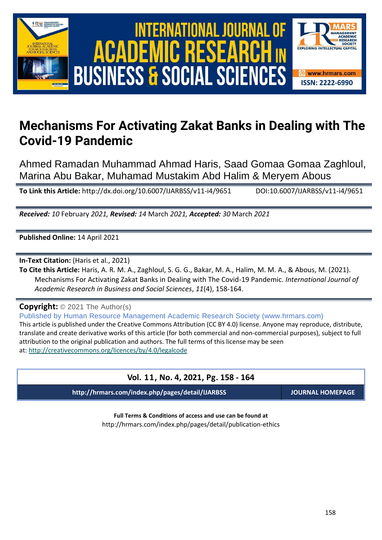



# **Mechanisms For Activating Zakat Banks in Dealing with The Covid-19 Pandemic**

Ahmed Ramadan Muhammad Ahmad Haris, Saad Gomaa Gomaa Zaghloul, Marina Abu Bakar, Muhamad Mustakim Abd Halim & Meryem Abous

**To Link this Article:** http://dx.doi.org/10.6007/IJARBSS/v11-i4/9651 DOI:10.6007/IJARBSS/v11-i4/9651

*Received: 10* February *2021, Revised: 14* March *2021, Accepted: 30* March *2021*

**Published Online:** 14 April 2021

**In-Text Citation:** (Haris et al., 2021)

**To Cite this Article:** Haris, A. R. M. A., Zaghloul, S. G. G., Bakar, M. A., Halim, M. M. A., & Abous, M. (2021). Mechanisms For Activating Zakat Banks in Dealing with The Covid-19 Pandemic. *International Journal of Academic Research in Business and Social Sciences*, *11*(4), 158-164.

**Copyright:** © 2021 The Author(s)

Published by Human Resource Management Academic Research Society (www.hrmars.com) This article is published under the Creative Commons Attribution (CC BY 4.0) license. Anyone may reproduce, distribute, translate and create derivative works of this article (for both commercial and non-commercial purposes), subject to full attribution to the original publication and authors. The full terms of this license may be seen at: <http://creativecommons.org/licences/by/4.0/legalcode>

## **Vol. 11, No. 4, 2021, Pg. 158 - 164**

**http://hrmars.com/index.php/pages/detail/IJARBSS JOURNAL HOMEPAGE**

**Full Terms & Conditions of access and use can be found at** http://hrmars.com/index.php/pages/detail/publication-ethics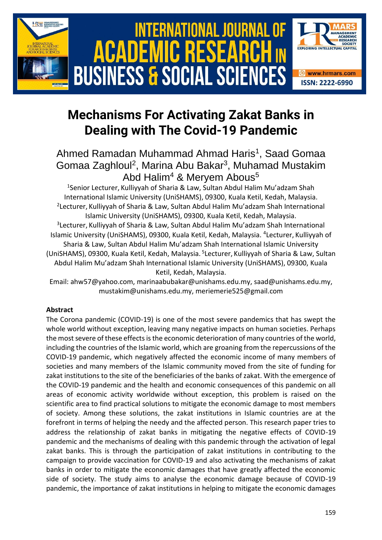

# **Mechanisms For Activating Zakat Banks in Dealing with The Covid-19 Pandemic**

# Ahmed Ramadan Muhammad Ahmad Haris<sup>1</sup>, Saad Gomaa Gomaa Zaghloul<sup>2</sup>, Marina Abu Bakar<sup>3</sup>, Muhamad Mustakim Abd Halim<sup>4</sup> & Meryem Abous<sup>5</sup>

<sup>1</sup>Senior Lecturer, Kulliyyah of Sharia & Law, Sultan Abdul Halim Mu'adzam Shah International Islamic University (UniSHAMS), 09300, Kuala Ketil, Kedah, Malaysia. 2 Lecturer, Kulliyyah of Sharia & Law, Sultan Abdul Halim Mu'adzam Shah International Islamic University (UniSHAMS), 09300, Kuala Ketil, Kedah, Malaysia. 3 Lecturer, Kulliyyah of Sharia & Law, Sultan Abdul Halim Mu'adzam Shah International Islamic University (UniSHAMS), 09300, Kuala Ketil, Kedah, Malaysia. <sup>4</sup>Lecturer, Kulliyyah of Sharia & Law, Sultan Abdul Halim Mu'adzam Shah International Islamic University (UniSHAMS), 09300, Kuala Ketil, Kedah, Malaysia. <sup>5</sup> Lecturer, Kulliyyah of Sharia & Law, Sultan Abdul Halim Mu'adzam Shah International Islamic University (UniSHAMS), 09300, Kuala Ketil, Kedah, Malaysia.

Email: ahw57@yahoo.com, [marinaabubakar@unishams.edu.my,](mailto:marinaabubakar@unishams.edu.my) saad@unishams.edu.my, [mustakim@unishams.edu.my,](mailto:mustakim@unishams.edu.my) [meriemerie525@gmail.com](mailto:meriemerie525@gmail.com)

#### **Abstract**

The Corona pandemic (COVID-19) is one of the most severe pandemics that has swept the whole world without exception, leaving many negative impacts on human societies. Perhaps the most severe of these effects is the economic deterioration of many countries of the world, including the countries of the Islamic world, which are groaning from the repercussions of the COVID-19 pandemic, which negatively affected the economic income of many members of societies and many members of the Islamic community moved from the site of funding for zakat institutions to the site of the beneficiaries of the banks of zakat. With the emergence of the COVID-19 pandemic and the health and economic consequences of this pandemic on all areas of economic activity worldwide without exception, this problem is raised on the scientific area to find practical solutions to mitigate the economic damage to most members of society. Among these solutions, the zakat institutions in Islamic countries are at the forefront in terms of helping the needy and the affected person. This research paper tries to address the relationship of zakat banks in mitigating the negative effects of COVID-19 pandemic and the mechanisms of dealing with this pandemic through the activation of legal zakat banks. This is through the participation of zakat institutions in contributing to the campaign to provide vaccination for COVID-19 and also activating the mechanisms of zakat banks in order to mitigate the economic damages that have greatly affected the economic side of society. The study aims to analyse the economic damage because of COVID-19 pandemic, the importance of zakat institutions in helping to mitigate the economic damages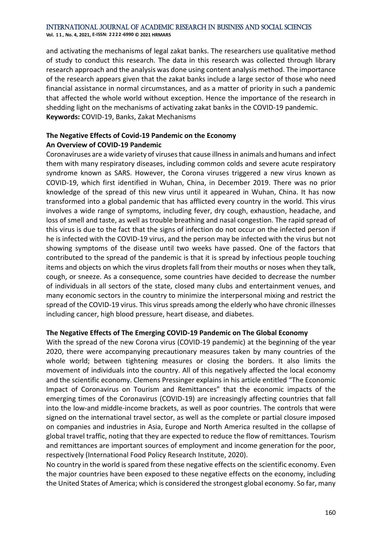**Vol. 1 1 , No. 4, 2021, E-ISSN: 2222-6990 © 2021 HRMARS**

and activating the mechanisms of legal zakat banks. The researchers use qualitative method of study to conduct this research. The data in this research was collected through library research approach and the analysis was done using content analysis method. The importance of the research appears given that the zakat banks include a large sector of those who need financial assistance in normal circumstances, and as a matter of priority in such a pandemic that affected the whole world without exception. Hence the importance of the research in shedding light on the mechanisms of activating zakat banks in the COVID-19 pandemic. **Keywords:** COVID-19, Banks, Zakat Mechanisms

### **The Negative Effects of Covid-19 Pandemic on the Economy An Overview of COVID-19 Pandemic**

Coronaviruses are a wide variety of viruses that cause illness in animals and humans and infect them with many respiratory diseases, including common colds and severe acute respiratory syndrome known as SARS. However, the Corona viruses triggered a new virus known as COVID-19, which first identified in Wuhan, China, in December 2019. There was no prior knowledge of the spread of this new virus until it appeared in Wuhan, China. It has now transformed into a global pandemic that has afflicted every country in the world. This virus involves a wide range of symptoms, including fever, dry cough, exhaustion, headache, and loss of smell and taste, as well as trouble breathing and nasal congestion. The rapid spread of this virus is due to the fact that the signs of infection do not occur on the infected person if he is infected with the COVID-19 virus, and the person may be infected with the virus but not showing symptoms of the disease until two weeks have passed. One of the factors that contributed to the spread of the pandemic is that it is spread by infectious people touching items and objects on which the virus droplets fall from their mouths or noses when they talk, cough, or sneeze. As a consequence, some countries have decided to decrease the number of individuals in all sectors of the state, closed many clubs and entertainment venues, and many economic sectors in the country to minimize the interpersonal mixing and restrict the spread of the COVID-19 virus. This virus spreads among the elderly who have chronic illnesses including cancer, high blood pressure, heart disease, and diabetes.

#### **The Negative Effects of The Emerging COVID-19 Pandemic on The Global Economy**

With the spread of the new Corona virus (COVID-19 pandemic) at the beginning of the year 2020, there were accompanying precautionary measures taken by many countries of the whole world; between tightening measures or closing the borders. It also limits the movement of individuals into the country. All of this negatively affected the local economy and the scientific economy. Clemens Pressinger explains in his article entitled "The Economic Impact of Coronavirus on Tourism and Remittances" that the economic impacts of the emerging times of the Coronavirus (COVID-19) are increasingly affecting countries that fall into the low-and middle-income brackets, as well as poor countries. The controls that were signed on the international travel sector, as well as the complete or partial closure imposed on companies and industries in Asia, Europe and North America resulted in the collapse of global travel traffic, noting that they are expected to reduce the flow of remittances. Tourism and remittances are important sources of employment and income generation for the poor, respectively (International Food Policy Research Institute, 2020).

No country in the world is spared from these negative effects on the scientific economy. Even the major countries have been exposed to these negative effects on the economy, including the United States of America; which is considered the strongest global economy. So far, many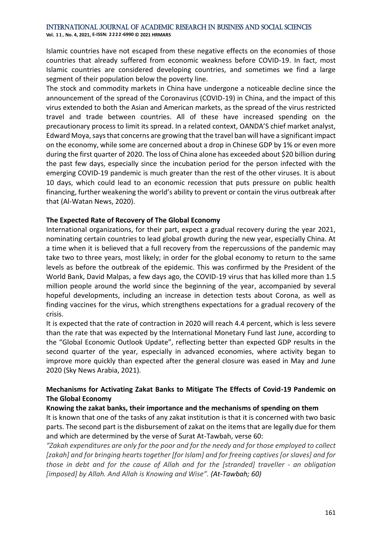**Vol. 1 1 , No. 4, 2021, E-ISSN: 2222-6990 © 2021 HRMARS**

Islamic countries have not escaped from these negative effects on the economies of those countries that already suffered from economic weakness before COVID-19. In fact, most Islamic countries are considered developing countries, and sometimes we find a large segment of their population below the poverty line.

The stock and commodity markets in China have undergone a noticeable decline since the announcement of the spread of the Coronavirus (COVID-19) in China, and the impact of this virus extended to both the Asian and American markets, as the spread of the virus restricted travel and trade between countries. All of these have increased spending on the precautionary process to limit its spread. In a related context, OANDA'S chief market analyst, Edward Moya, says that concerns are growing that the travel ban will have a significant impact on the economy, while some are concerned about a drop in Chinese GDP by 1% or even more during the first quarter of 2020. The loss of China alone has exceeded about \$20 billion during the past few days, especially since the incubation period for the person infected with the emerging COVID-19 pandemic is much greater than the rest of the other viruses. It is about 10 days, which could lead to an economic recession that puts pressure on public health financing, further weakening the world's ability to prevent or contain the virus outbreak after that (Al-Watan News, 2020).

#### **The Expected Rate of Recovery of The Global Economy**

International organizations, for their part, expect a gradual recovery during the year 2021, nominating certain countries to lead global growth during the new year, especially China. At a time when it is believed that a full recovery from the repercussions of the pandemic may take two to three years, most likely; in order for the global economy to return to the same levels as before the outbreak of the epidemic. This was confirmed by the President of the World Bank, David Malpas, a few days ago, the COVID-19 virus that has killed more than 1.5 million people around the world since the beginning of the year, accompanied by several hopeful developments, including an increase in detection tests about Corona, as well as finding vaccines for the virus, which strengthens expectations for a gradual recovery of the crisis.

It is expected that the rate of contraction in 2020 will reach 4.4 percent, which is less severe than the rate that was expected by the International Monetary Fund last June, according to the "Global Economic Outlook Update", reflecting better than expected GDP results in the second quarter of the year, especially in advanced economies, where activity began to improve more quickly than expected after the general closure was eased in May and June 2020 (Sky News Arabia, 2021).

#### **Mechanisms for Activating Zakat Banks to Mitigate The Effects of Covid-19 Pandemic on The Global Economy**

#### **Knowing the zakat banks, their importance and the mechanisms of spending on them**

It is known that one of the tasks of any zakat institution is that it is concerned with two basic parts. The second part is the disbursement of zakat on the items that are legally due for them and which are determined by the verse of Surat At-Tawbah, verse 60:

*"Zakah expenditures are only for the poor and for the needy and for those employed to collect [zakah] and for bringing hearts together [for Islam] and for freeing captives [or slaves] and for those in debt and for the cause of Allah and for the [stranded] traveller - an obligation [imposed] by Allah. And Allah is Knowing and Wise". (At-Tawbah; 60)*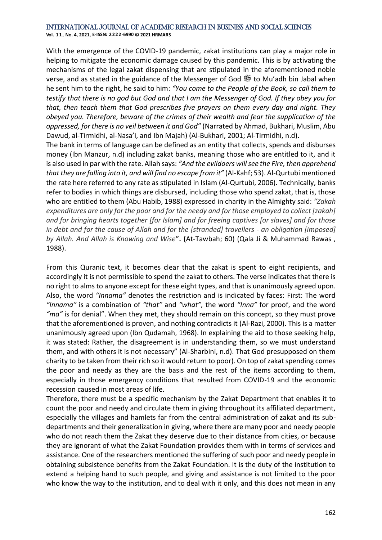**Vol. 1 1 , No. 4, 2021, E-ISSN: 2222-6990 © 2021 HRMARS**

With the emergence of the COVID-19 pandemic, zakat institutions can play a major role in helping to mitigate the economic damage caused by this pandemic. This is by activating the mechanisms of the legal zakat dispensing that are stipulated in the aforementioned noble verse, and as stated in the guidance of the Messenger of God  $40$  to Mu'adh bin Jabal when he sent him to the right, he said to him: *"You come to the People of the Book, so call them to testify that there is no god but God and that I am the Messenger of God. If they obey you for that, then teach them that God prescribes five prayers on them every day and night. They obeyed you. Therefore, beware of the crimes of their wealth and fear the supplication of the oppressed, for there is no veil between it and God"* (Narrated by Ahmad, Bukhari, Muslim, Abu Dawud, al-Tirmidhi, al-Nasa'i, and Ibn Majah) (Al-Bukhari, 2001; Al-Tirmidhi, n.d).

The bank in terms of language can be defined as an entity that collects, spends and disburses money (Ibn Manzur, n.d) including zakat banks, meaning those who are entitled to it, and it is also used in par with the rate. Allah says: *"And the evildoers will see the Fire, then apprehend that they are falling into it, and will find no escape from it"* (Al-Kahf; 53). Al-Qurtubi mentioned the rate here referred to any rate as stipulated in Islam (Al-Qurtubi, 2006). Technically, banks refer to bodies in which things are disbursed, including those who spend zakat, that is, those who are entitled to them (Abu Habib, 1988) expressed in charity in the Almighty said: *"Zakah expenditures are only for the poor and for the needy and for those employed to collect [zakah] and for bringing hearts together [for Islam] and for freeing captives [or slaves] and for those in debt and for the cause of Allah and for the [stranded] travellers - an obligation [imposed] by Allah. And Allah is Knowing and Wise***". (**At-Tawbah; 60) (Qala Ji & Muhammad Rawas , 1988).

From this Quranic text, it becomes clear that the zakat is spent to eight recipients, and accordingly it is not permissible to spend the zakat to others. The verse indicates that there is no right to alms to anyone except for these eight types, and that is unanimously agreed upon. Also, the word *"Innama"* denotes the restriction and is indicated by faces: First: The word *"Innama"* is a combination of *"that"* and *"what",* the word *"Inna"* for proof, and the word *"ma"* is for denial". When they met, they should remain on this concept, so they must prove that the aforementioned is proven, and nothing contradicts it (Al-Razi, 2000). This is a matter unanimously agreed upon (Ibn Qudamah, 1968). In explaining the aid to those seeking help, it was stated: Rather, the disagreement is in understanding them, so we must understand them, and with others it is not necessary" (Al-Sharbini, n.d). That God presupposed on them charity to be taken from their rich so it would return to poor). On top of zakat spending comes the poor and needy as they are the basis and the rest of the items according to them, especially in those emergency conditions that resulted from COVID-19 and the economic recession caused in most areas of life.

Therefore, there must be a specific mechanism by the Zakat Department that enables it to count the poor and needy and circulate them in giving throughout its affiliated department, especially the villages and hamlets far from the central administration of zakat and its subdepartments and their generalization in giving, where there are many poor and needy people who do not reach them the Zakat they deserve due to their distance from cities, or because they are ignorant of what the Zakat Foundation provides them with in terms of services and assistance. One of the researchers mentioned the suffering of such poor and needy people in obtaining subsistence benefits from the Zakat Foundation. It is the duty of the institution to extend a helping hand to such people, and giving and assistance is not limited to the poor who know the way to the institution, and to deal with it only, and this does not mean in any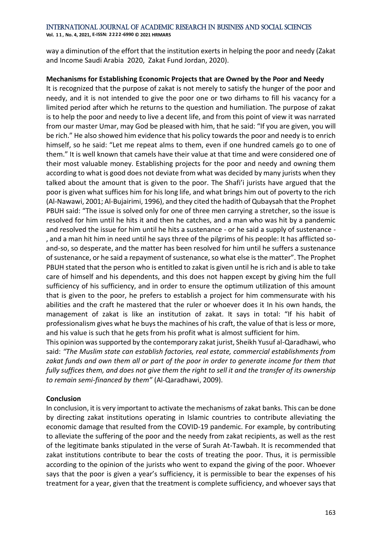**Vol. 1 1 , No. 4, 2021, E-ISSN: 2222-6990 © 2021 HRMARS**

way a diminution of the effort that the institution exerts in helping the poor and needy (Zakat and Income Saudi Arabia 2020, Zakat Fund Jordan, 2020).

#### **Mechanisms for Establishing Economic Projects that are Owned by the Poor and Needy**

It is recognized that the purpose of zakat is not merely to satisfy the hunger of the poor and needy, and it is not intended to give the poor one or two dirhams to fill his vacancy for a limited period after which he returns to the question and humiliation. The purpose of zakat is to help the poor and needy to live a decent life, and from this point of view it was narrated from our master Umar, may God be pleased with him, that he said: "If you are given, you will be rich." He also showed him evidence that his policy towards the poor and needy is to enrich himself, so he said: "Let me repeat alms to them, even if one hundred camels go to one of them." It is well known that camels have their value at that time and were considered one of their most valuable money. Establishing projects for the poor and needy and owning them according to what is good does not deviate from what was decided by many jurists when they talked about the amount that is given to the poor. The Shafi'i jurists have argued that the poor is given what suffices him for his long life, and what brings him out of poverty to the rich (Al-Nawawi, 2001; Al-Bujairimi, 1996), and they cited the hadith of Qubaysah that the Prophet PBUH said: "The issue is solved only for one of three men carrying a stretcher, so the issue is resolved for him until he hits it and then he catches, and a man who was hit by a pandemic and resolved the issue for him until he hits a sustenance - or he said a supply of sustenance - , and a man hit him in need until he says three of the pilgrims of his people: It has afflicted soand-so, so desperate, and the matter has been resolved for him until he suffers a sustenance of sustenance, or he said a repayment of sustenance, so what else is the matter". The Prophet PBUH stated that the person who is entitled to zakat is given until he is rich and is able to take care of himself and his dependents, and this does not happen except by giving him the full sufficiency of his sufficiency, and in order to ensure the optimum utilization of this amount that is given to the poor, he prefers to establish a project for him commensurate with his abilities and the craft he mastered that the ruler or whoever does it In his own hands, the management of zakat is like an institution of zakat. It says in total: "If his habit of professionalism gives what he buys the machines of his craft, the value of that is less or more, and his value is such that he gets from his profit what is almost sufficient for him.

This opinion was supported by the contemporary zakat jurist, Sheikh Yusuf al-Qaradhawi, who said: *"The Muslim state can establish factories, real estate, commercial establishments from zakat funds and own them all or part of the poor in order to generate income for them that fully suffices them, and does not give them the right to sell it and the transfer of its ownership to remain semi-financed by them"* (Al-Qaradhawi, 2009).

#### **Conclusion**

In conclusion, it is very important to activate the mechanisms of zakat banks. This can be done by directing zakat institutions operating in Islamic countries to contribute alleviating the economic damage that resulted from the COVID-19 pandemic. For example, by contributing to alleviate the suffering of the poor and the needy from zakat recipients, as well as the rest of the legitimate banks stipulated in the verse of Surah At-Tawbah. It is recommended that zakat institutions contribute to bear the costs of treating the poor. Thus, it is permissible according to the opinion of the jurists who went to expand the giving of the poor. Whoever says that the poor is given a year's sufficiency, it is permissible to bear the expenses of his treatment for a year, given that the treatment is complete sufficiency, and whoever says that